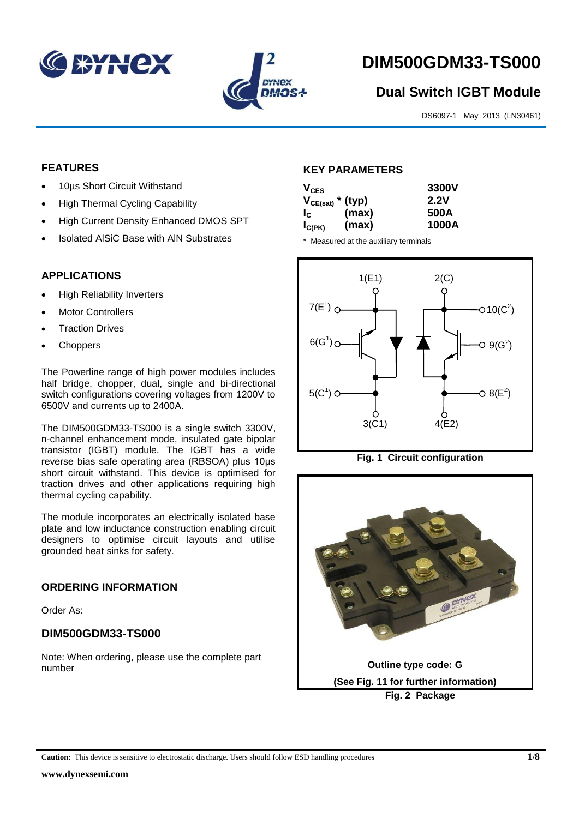



# **DIM500GDM33-TS000**

# **Dual Switch IGBT Module**

DS6097-1 May 2013 (LN30461)

# **FEATURES**

- 10µs Short Circuit Withstand
- High Thermal Cycling Capability
- High Current Density Enhanced DMOS SPT
- Isolated AlSiC Base with AlN Substrates

# **APPLICATIONS**

- High Reliability Inverters
- Motor Controllers
- Traction Drives
- **Choppers**

The Powerline range of high power modules includes half bridge, chopper, dual, single and bi-directional switch configurations covering voltages from 1200V to 6500V and currents up to 2400A.

The DIM500GDM33-TS000 is a single switch 3300V, n-channel enhancement mode, insulated gate bipolar transistor (IGBT) module. The IGBT has a wide reverse bias safe operating area (RBSOA) plus 10μs short circuit withstand. This device is optimised for traction drives and other applications requiring high thermal cycling capability.

The module incorporates an electrically isolated base plate and low inductance construction enabling circuit designers to optimise circuit layouts and utilise grounded heat sinks for safety.

# **ORDERING INFORMATION**

Order As:

# **DIM500GDM33-TS000**

Note: When ordering, please use the complete part number

# **KEY PARAMETERS**

| $V_{CES}$             |       | 3300V |
|-----------------------|-------|-------|
| $V_{CE(sat)}$ * (typ) |       | 2.2V  |
| $I_{\rm C}$           | (max) | 500A  |
| $I_{C(PK)}$           | (max) | 1000A |

\* Measured at the auxiliary terminals





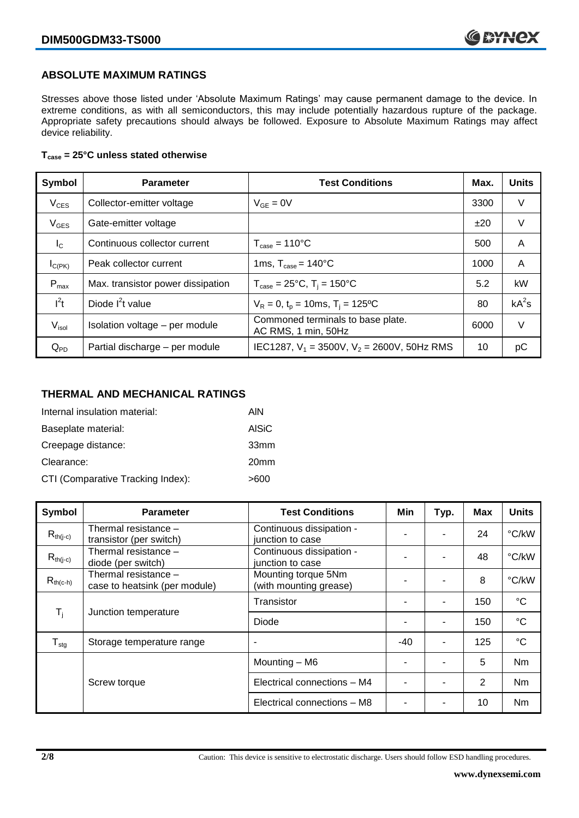# **ABSOLUTE MAXIMUM RATINGS**

Stresses above those listed under 'Absolute Maximum Ratings' may cause permanent damage to the device. In extreme conditions, as with all semiconductors, this may include potentially hazardous rupture of the package. Appropriate safety precautions should always be followed. Exposure to Absolute Maximum Ratings may affect device reliability.

### **Tcase = 25°C unless stated otherwise**

| Symbol            | <b>Parameter</b>                  | <b>Test Conditions</b>                                   | Max. | <b>Units</b> |
|-------------------|-----------------------------------|----------------------------------------------------------|------|--------------|
| $V_{CES}$         | Collector-emitter voltage         | $V_{GF} = 0V$                                            | 3300 | V            |
| $V_{GES}$         | Gate-emitter voltage              |                                                          | ±20  | V            |
| $I_{\rm C}$       | Continuous collector current      | $T_{\text{case}} = 110^{\circ}C$                         | 500  | A            |
| $I_{C(PK)}$       | Peak collector current            | 1ms, $T_{\text{case}} = 140^{\circ}$ C                   | 1000 | A            |
| $P_{\text{max}}$  | Max. transistor power dissipation | $T_{\text{case}} = 25^{\circ}C$ , $T_i = 150^{\circ}C$   | 5.2  | kW           |
| $I^2t$            | Diode $I^2t$ value                | $V_R = 0$ , $t_p = 10$ ms, $T_i = 125$ °C                | 80   | $kA^2s$      |
| V <sub>isol</sub> | Isolation voltage - per module    | Commoned terminals to base plate.<br>AC RMS, 1 min, 50Hz | 6000 | V            |
| $Q_{PD}$          | Partial discharge - per module    | IEC1287, $V_1 = 3500V$ , $V_2 = 2600V$ , 50Hz RMS        | 10   | рC           |

# **THERMAL AND MECHANICAL RATINGS**

| Internal insulation material:     | AIN              |
|-----------------------------------|------------------|
| Baseplate material:               | AISiC            |
| Creepage distance:                | 33mm             |
| Clearance:                        | 20 <sub>mm</sub> |
| CTI (Comparative Tracking Index): | >600             |

| Symbol                                            | <b>Parameter</b>                                      | <b>Test Conditions</b>                        | Min | Typ. | Max | <b>Units</b>    |
|---------------------------------------------------|-------------------------------------------------------|-----------------------------------------------|-----|------|-----|-----------------|
| $R_{th(j-c)}$                                     | Thermal resistance -<br>transistor (per switch)       | Continuous dissipation -<br>junction to case  |     |      | 24  | °C/kW           |
| $R_{th(j-c)}$                                     | Thermal resistance -<br>diode (per switch)            | Continuous dissipation -<br>junction to case  |     |      | 48  | °C/kW           |
| $R_{th(c-h)}$                                     | Thermal resistance -<br>case to heatsink (per module) | Mounting torque 5Nm<br>(with mounting grease) |     |      | 8   | °C/kW           |
| $\mathsf{T}_{\mathsf{i}}$<br>Junction temperature |                                                       | Transistor                                    |     | ٠    | 150 | $\rm ^{\circ}C$ |
|                                                   |                                                       | Diode                                         |     |      | 150 | $\rm ^{\circ}C$ |
| ${\mathsf T}_{\text{stg}}$                        | Storage temperature range                             | $\blacksquare$                                | -40 | ٠    | 125 | $^{\circ}C$     |
|                                                   |                                                       | Mounting - M6                                 |     |      | 5   | <b>Nm</b>       |
|                                                   | Screw torque                                          | Electrical connections - M4                   |     | ۰    | 2   | Nm              |
|                                                   |                                                       | Electrical connections - M8                   |     |      | 10  | Nm              |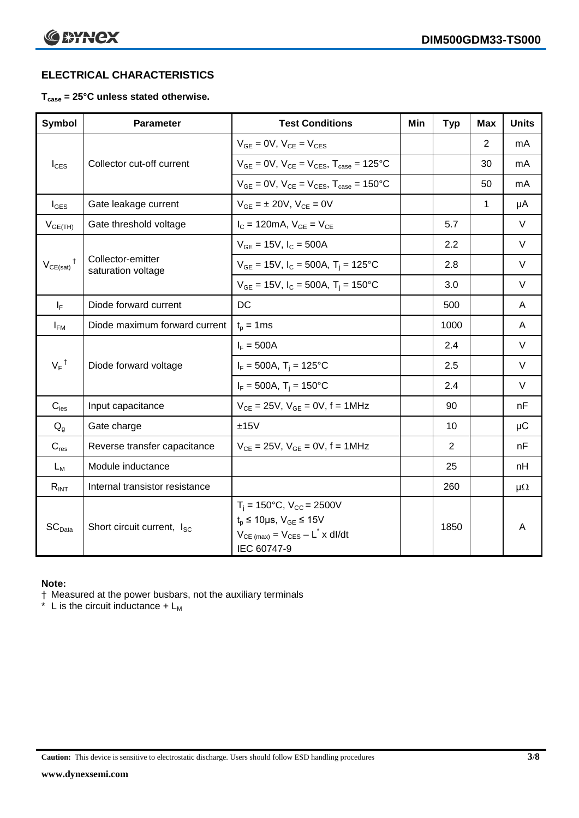# **ELECTRICAL CHARACTERISTICS**

# **Tcase = 25°C unless stated otherwise.**

| <b>Symbol</b>              | <b>Parameter</b>                        | <b>Test Conditions</b>                                                                                                                                            | Min | <b>Typ</b>     | Max | <b>Units</b> |
|----------------------------|-----------------------------------------|-------------------------------------------------------------------------------------------------------------------------------------------------------------------|-----|----------------|-----|--------------|
|                            |                                         | $V_{GF} = 0V$ , $V_{CF} = V_{CFS}$                                                                                                                                |     |                | 2   | mA           |
| $I_{\text{CES}}$           | Collector cut-off current               | $V_{GE} = 0V$ , $V_{CE} = V_{CES}$ , $T_{case} = 125$ °C                                                                                                          |     |                | 30  | mA           |
|                            |                                         | $V_{GF} = 0V$ , $V_{CF} = V_{CES}$ , $T_{case} = 150^{\circ}C$                                                                                                    |     |                | 50  | mA           |
| $I_{\text{GES}}$           | Gate leakage current                    | $V_{GE} = \pm 20V$ , $V_{CE} = 0V$                                                                                                                                |     |                | 1   | μA           |
| $V_{GE(TH)}$               | Gate threshold voltage                  | $I_{C} = 120 \text{mA}, V_{GE} = V_{CE}$                                                                                                                          |     | 5.7            |     | $\vee$       |
|                            |                                         | $V_{GE}$ = 15V, $I_C$ = 500A                                                                                                                                      |     | 2.2            |     | $\vee$       |
| $V_{CE(sat)}$ <sup>†</sup> | Collector-emitter<br>saturation voltage | $V_{GE}$ = 15V, $I_C$ = 500A, T <sub>i</sub> = 125°C                                                                                                              |     | 2.8            |     | V            |
|                            |                                         | $V_{GE}$ = 15V, $I_C$ = 500A, $T_i$ = 150°C                                                                                                                       |     | 3.0            |     | $\vee$       |
| $I_F$                      | Diode forward current                   | DC                                                                                                                                                                |     | 500            |     | A            |
| $I_{FM}$                   | Diode maximum forward current           | $t_p = 1$ ms                                                                                                                                                      |     | 1000           |     | A            |
|                            |                                         | $I_F = 500A$                                                                                                                                                      |     | 2.4            |     | $\vee$       |
| $V_F$ <sup>†</sup>         | Diode forward voltage                   | $I_F = 500A$ , T <sub>i</sub> = 125°C                                                                                                                             |     | 2.5            |     | $\vee$       |
|                            |                                         | $I_F = 500A$ , $T_i = 150^{\circ}C$                                                                                                                               |     | 2.4            |     | $\vee$       |
| $C_{\text{ies}}$           | Input capacitance                       | $V_{CE} = 25V$ , $V_{GE} = 0V$ , $f = 1MHz$                                                                                                                       |     | 90             |     | nF           |
| $Q_{q}$                    | Gate charge                             | ±15V                                                                                                                                                              |     | 10             |     | $\mu$ C      |
| $C_{res}$                  | Reverse transfer capacitance            | $V_{CE} = 25V$ , $V_{GE} = 0V$ , f = 1MHz                                                                                                                         |     | $\overline{2}$ |     | nF           |
| $L_M$                      | Module inductance                       |                                                                                                                                                                   |     | 25             |     | nH           |
| $R_{INT}$                  | Internal transistor resistance          |                                                                                                                                                                   |     | 260            |     | $\mu\Omega$  |
| SC <sub>Data</sub>         | Short circuit current, Isc              | $T_i = 150^{\circ}C$ , $V_{CC} = 2500V$<br>$t_p \le 10 \mu s$ , $V_{GE} \le 15V$<br>$V_{CE \text{ (max)}} = V_{CES} - L^{\dagger} x \text{ dI/dt}$<br>IEC 60747-9 |     | 1850           |     | A            |

#### **Note:**

† Measured at the power busbars, not the auxiliary terminals

 $*$  L is the circuit inductance + L<sub>M</sub>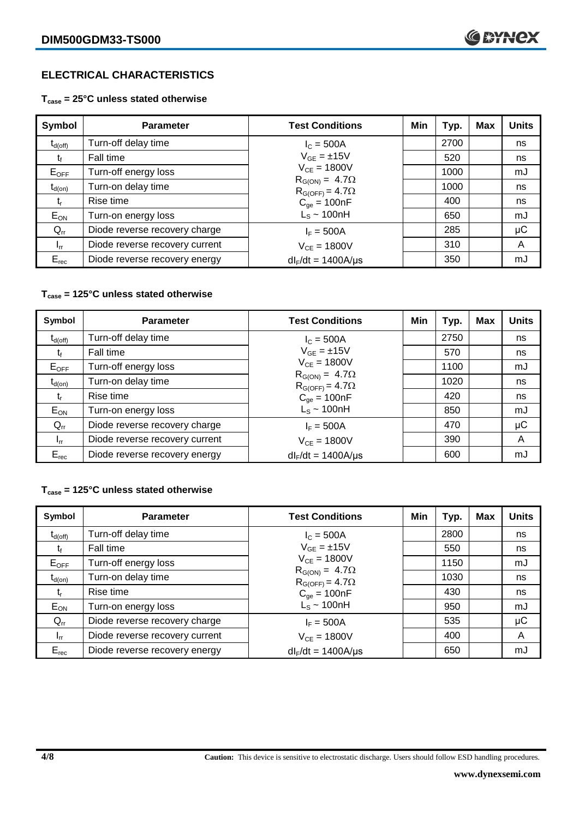# **ELECTRICAL CHARACTERISTICS**

**Tcase = 25°C unless stated otherwise**

| Symbol              | <b>Parameter</b>               | <b>Test Conditions</b>                              | Min | Typ. | Max | <b>Units</b> |
|---------------------|--------------------------------|-----------------------------------------------------|-----|------|-----|--------------|
| $t_{d(\text{off})}$ | Turn-off delay time            | $I_{C} = 500A$                                      |     | 2700 |     | ns           |
| t                   | Fall time                      | $V_{GE} = \pm 15V$                                  |     | 520  |     | ns           |
| $E_{OFF}$           | Turn-off energy loss           | $V_{CF} = 1800V$                                    |     | 1000 |     | mJ           |
| $t_{d(on)}$         | Turn-on delay time             | $R_{G(ON)} = 4.7\Omega$<br>$R_{G(OFF)} = 4.7\Omega$ |     | 1000 |     | ns           |
| t,                  | Rise time                      | $C_{qe} = 100nF$                                    |     | 400  |     | ns           |
| $E_{ON}$            | Turn-on energy loss            | $L_s \sim 100hH$                                    |     | 650  |     | mJ           |
| $Q_{rr}$            | Diode reverse recovery charge  | $I_F = 500A$                                        |     | 285  |     | $\mu$ C      |
| $I_{rr}$            | Diode reverse recovery current | $V_{CF} = 1800V$                                    |     | 310  |     | A            |
| $E_{rec}$           | Diode reverse recovery energy  | $dl_F/dt = 1400A/\mu s$                             |     | 350  |     | mJ           |

# **Tcase = 125°C unless stated otherwise**

| Symbol              | <b>Parameter</b>               | <b>Test Conditions</b>                              | Min | Typ. | Max | <b>Units</b> |
|---------------------|--------------------------------|-----------------------------------------------------|-----|------|-----|--------------|
| $t_{d(\text{off})}$ | Turn-off delay time            | $I_{C} = 500A$                                      |     | 2750 |     | ns           |
| t                   | Fall time                      | $V_{GF} = \pm 15V$                                  |     | 570  |     | ns           |
| $E_{OFF}$           | Turn-off energy loss           | $V_{CF} = 1800V$                                    |     | 1100 |     | mJ           |
| $t_{d(on)}$         | Turn-on delay time             | $R_{G(ON)} = 4.7\Omega$<br>$R_{G(OFF)} = 4.7\Omega$ |     | 1020 |     | ns           |
| Ţ,                  | Rise time                      | $C_{qe} = 100nF$                                    |     | 420  |     | ns           |
| $E_{ON}$            | Turn-on energy loss            | $L_s \sim 100nH$                                    |     | 850  |     | mJ           |
| $Q_{rr}$            | Diode reverse recovery charge  | $I_F = 500A$                                        |     | 470  |     | μC           |
| $I_{rr}$            | Diode reverse recovery current | $V_{CF} = 1800V$                                    |     | 390  |     | A            |
| $E_{rec}$           | Diode reverse recovery energy  | $dl_F/dt = 1400A/\mu s$                             |     | 600  |     | mJ           |

### **Tcase = 125°C unless stated otherwise**

| Symbol              | <b>Parameter</b>               | <b>Test Conditions</b>                              | Min | Typ. | <b>Max</b> | <b>Units</b> |
|---------------------|--------------------------------|-----------------------------------------------------|-----|------|------------|--------------|
| $t_{d(\text{off})}$ | Turn-off delay time            | $I_{C} = 500A$                                      |     | 2800 |            | ns           |
| t,                  | Fall time                      | $V_{GE} = \pm 15V$                                  |     | 550  |            | ns           |
| $E_{OFF}$           | Turn-off energy loss           | $V_{CF} = 1800V$                                    |     | 1150 |            | mJ           |
| $t_{d(on)}$         | Turn-on delay time             | $R_{G(ON)} = 4.7\Omega$<br>$R_{G(OFF)} = 4.7\Omega$ |     | 1030 |            | ns           |
| t,                  | Rise time                      | $C_{qe} = 100nF$                                    |     | 430  |            | ns           |
| $E_{ON}$            | Turn-on energy loss            | $L_s \sim 100nH$                                    |     | 950  |            | mJ           |
| $Q_{rr}$            | Diode reverse recovery charge  | $I_F = 500A$                                        |     | 535  |            | μC           |
| $I_{rr}$            | Diode reverse recovery current | $V_{CF} = 1800V$                                    |     | 400  |            | A            |
| $E_{rec}$           | Diode reverse recovery energy  | $dl_F/dt = 1400A/\mu s$                             |     | 650  |            | mJ           |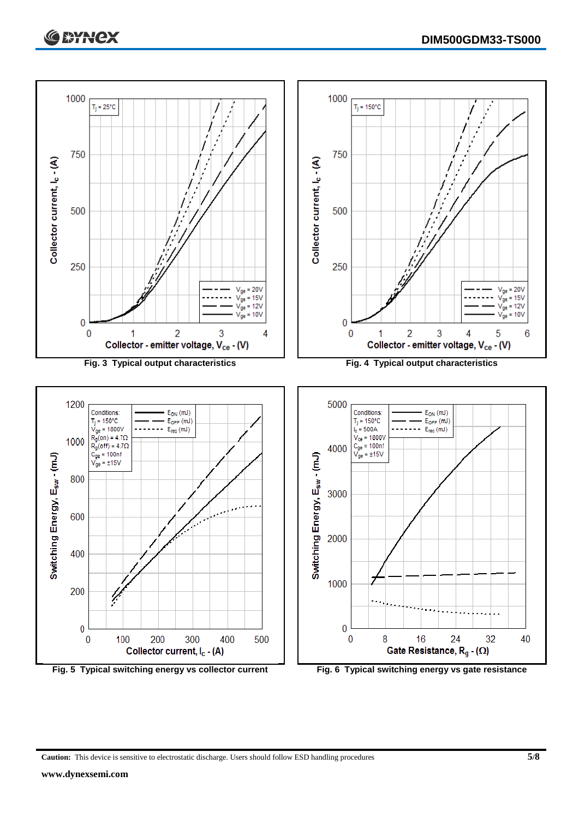



**Caution:** This device is sensitive to electrostatic discharge. Users should follow ESD handling procedures **5/8**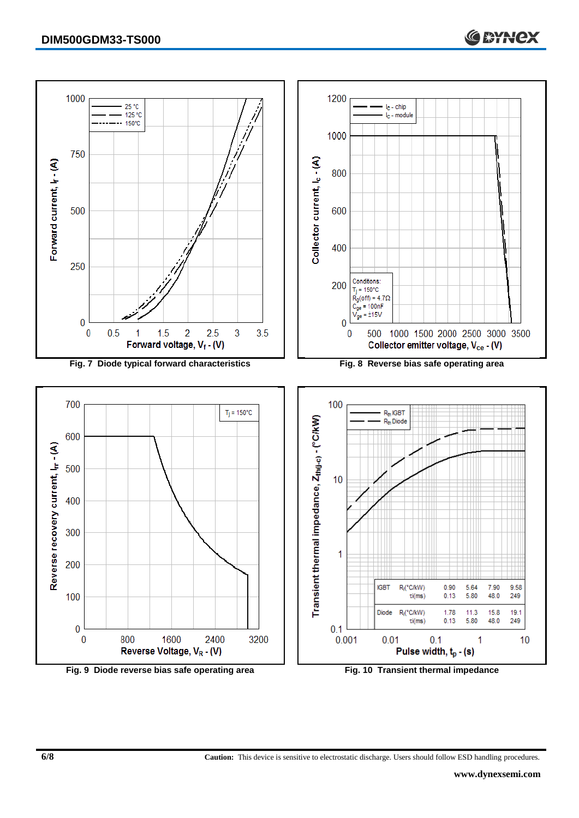

**Fig. 9 Diode reverse bias safe operating area Fig. 10 Transient thermal impedance**

**6/8 Caution:** This device is sensitive to electrostatic discharge. Users should follow ESD handling procedures.

**C SYNCX**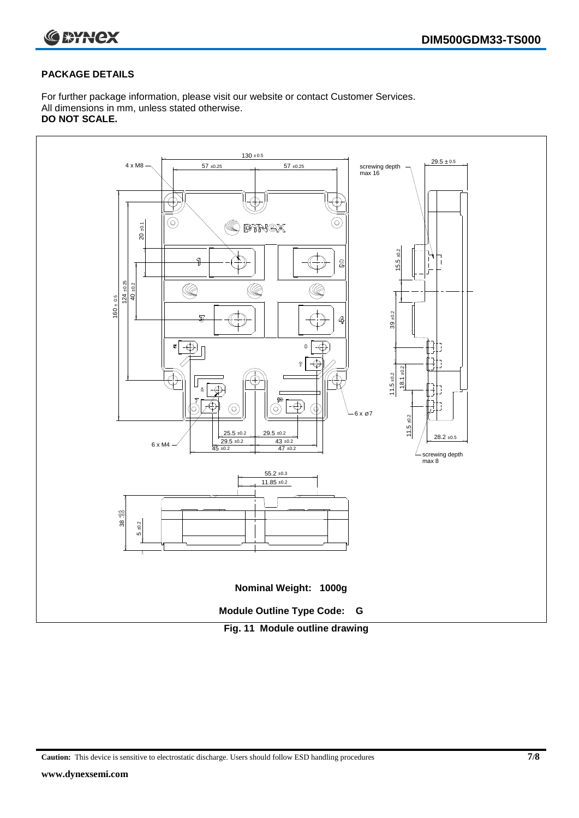

## **PACKAGE DETAILS**

For further package information, please visit our website or contact Customer Services. All dimensions in mm, unless stated otherwise. **DO NOT SCALE.**



**Caution:** This device is sensitive to electrostatic discharge. Users should follow ESD handling procedures **7/8**